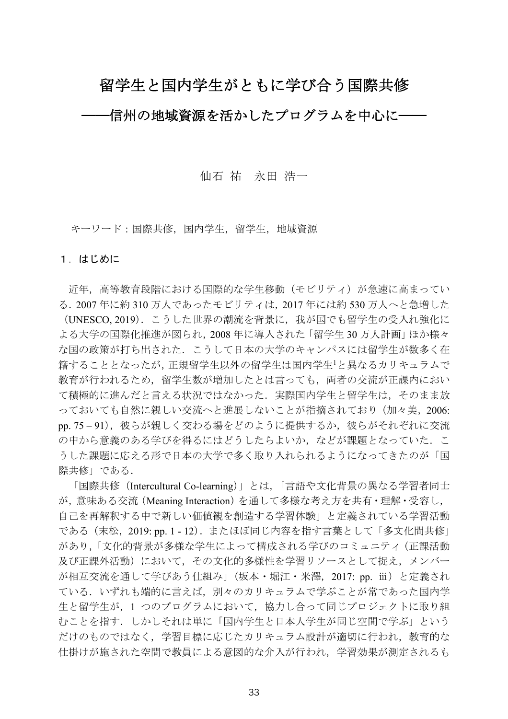# 留学生と国内学生がともに学び合う国際共修

-信州の地域資源を活かしたプログラムを中心に−

## 仙石 祐 永田 浩一

キーワード:国際共修, 国内学生, 留学生, 地域資源

#### 1. はじめに

近年、高等教育段階における国際的な学生移動(モビリティ)が急速に高まってい る. 2007年に約310万人であったモビリティは, 2017年には約530万人へと急増した (UNESCO, 2019). こうした世界の潮流を背景に、我が国でも留学生の受入れ強化に よる大学の国際化推進が図られ、2008年に導入された「留学生30万人計画」ほか様々 な国の政策が打ち出された。こうして日本の大学のキャンパスには留学生が数多く在 籍することとなったが,正規留学生以外の留学生は国内学生1と異なるカリキュラムで 教育が行われるため、留学生数が増加したとは言っても、両者の交流が正課内におい て積極的に進んだと言える状況ではなかった. 実際国内学生と留学生は、そのまま放 っておいても自然に親しい交流へと進展しないことが指摘されており(加々美, 2006: pp. 75-91), 彼らが親しく交わる場をどのように提供するか, 彼らがそれぞれに交流 の中から意義のある学びを得るにはどうしたらよいか、などが課題となっていた. こ うした課題に応える形で日本の大学で多く取り入れられるようになってきたのが「国 際共修」である.

「国際共修 (Intercultural Co-learning)」とは、「言語や文化背景の異なる学習者同士 が, 意味ある交流 (Meaning Interaction) を通して多様な考え方を共有・理解・受容し, 自己を再解釈する中で新しい価値観を創造する学習体験」と定義されている学習活動 である (末松, 2019: pp. 1 - 12). またほぼ同じ内容を指す言葉として「多文化間共修」 があり, 「文化的背景が多様な学生によって構成される学びのコミュニティ (正課活動 及び正課外活動)において、その文化的多様性を学習リソースとして捉え、メンバー が相互交流を通して学びあう仕組み」(坂本・堀江・米澤,2017: pp. ⅲ)と定義され ている.いずれも端的に言えば,別々のカリキュラムで学ぶことが常であった国内学 生と留学生が、1 つのプログラムにおいて、協力し合って同じプロジェクトに取り組 むことを指す。しかしそれは単に「国内学生と日本人学生が同じ空間で学ぶ」という だけのものではなく、学習目標に応じたカリキュラム設計が適切に行われ、教育的な 仕掛けが施された空間で教員による意図的な介入が行われ、学習効果が測定されるも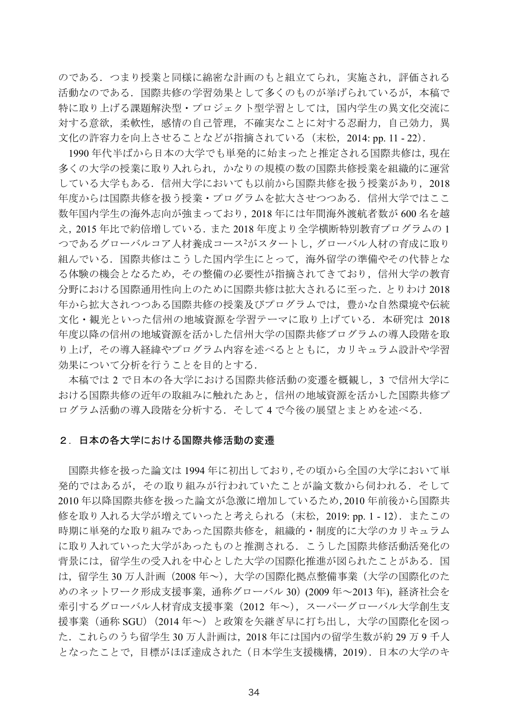のである. つまり授業と同様に綿密な計画のもと組立てられ,実施され,評価される 活動なのである.国際共修の学習効果として多くのものが挙げられているが,本稿で 特に取り上げる課題解決型·プロジェクト型学習としては、国内学生の異文化交流に 対する意欲、柔軟性、感情の自己管理、不確実なことに対する忍耐力、自己効力、異 文化の許容力を向上させることなどが指摘されている (末松, 2014: pp. 11 - 22).

1990年代半ばから日本の大学でも単発的に始まったと推定される国際共修は、現在 多くの大学の授業に取り入れられ、かなりの規模の数の国際共修授業を組織的に運営 している大学もある. 信州大学においても以前から国際共修を扱う授業があり、2018 年度からは国際共修を扱う授業・プログラムを拡大させつつある.信州大学ではここ 数年国内学生の海外志向が強まっており、2018年には年間海外渡航者数が600名を越 え、2015年比で約倍増している. また 2018年度より全学横断特別教育プログラムの1 つであるグローバルコア人材養成コース<sup>2</sup>がスタートし, グローバル人材の育成に取り 組んでいる。国際共修はこうした国内学生にとって、海外留学の準備やその代替とな る体験の機会となるため,その整備の必要性が指摘されてきており,信州大学の教育 分野における国際通用性向上のために国際共修は拡大されるに至った. とりわけ 2018 年から拡大されつつある国際共修の授業及びプログラムでは、豊かな自然環境や伝統 文化・観光といった信州の地域資源を学習テーマに取り上げている. 本研究は 2018 年度以降の信州の地域資源を活かした信州大学の国際共修プログラムの導入段階を取 り上げ、その導入経緯やプログラム内容を述べるとともに、カリキュラム設計や学習 効果について分析を行うことを目的とする.

本稿では2で日本の各大学における国際共修活動の変遷を概観し、3で信州大学に おける国際共修の近年の取組みに触れたあと、信州の地域資源を活かした国際共修プ ログラム活動の導入段階を分析する. そして4で今後の展望とまとめを述べる.

#### 2. 日本の各大学における国際共修活動の変遷

国際共修を扱った論文は1994年に初出しており、その頃から全国の大学において単 発的ではあるが、その取り組みが行われていたことが論文数から伺われる. そして 2010年以降国際共修を扱った論文が急激に増加しているため,2010年前後から国際共 修を取り入れる大学が増えていったと考えられる (末松, 2019: pp. 1 - 12). またこの 時期に単発的な取り組みであった国際共修を、組織的・制度的に大学のカリキュラム に取り入れていった大学があったものと推測される. こうした国際共修活動活発化の 背景には、留学生の受入れを中心とした大学の国際化推進が図られたことがある. 国 は、留学生30万人計画 (2008年~)、大学の国際化拠点整備事業(大学の国際化のた めのネットワーク形成支援事業、通称グローバル 30) (2009 年~2013 年)、経済社会を 牽引するグローバル人材育成支援事業 (2012 年~), スーパーグローバル大学創生支 援事業(通称 SGU) (2014年~)と政策を矢継ぎ早に打ち出し、大学の国際化を図っ た. これらのうち留学生30万人計画は、2018年には国内の留学生数が約29万9千人 となったことで、目標がほぼ達成された(日本学生支援機構, 2019). 日本の大学のキ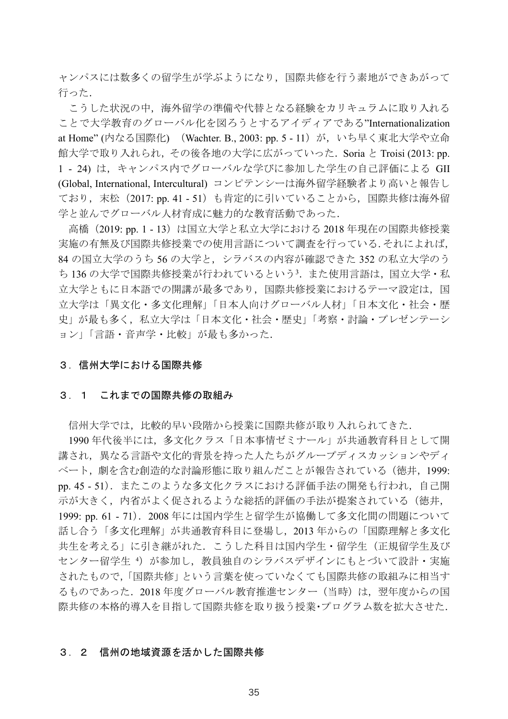ャンパスには数多くの留学生が学ぶようになり、国際共修を行う素地ができあがって 行った.

こうした状況の中、海外留学の準備や代替となる経験をカリキュラムに取り入れる ことで大学教育のグローバル化を図ろうとするアイディアである"Internationalization at Home" (内なる国際化) (Wachter. B., 2003: pp. 5 - 11) が, いち早く東北大学や立命 館大学で取り入れられ、その後各地の大学に広がっていった. Soria と Troisi (2013: pp. 1 - 24) は、キャンパス内でグローバルな学びに参加した学生の自己評価による GII (Global, International, Intercultural) コンピテンシーは海外留学経験者より高いと報告し ており、末松 (2017: pp. 41 - 51) も肯定的に引いていることから、国際共修は海外留 学と並んでグローバル人材育成に魅力的な教育活動であった.

高橋 (2019: pp. 1 - 13) は国立大学と私立大学における 2018 年現在の国際共修授業 実施の有無及び国際共修授業での使用言語について調査を行っている.それによれば, 84 の国立大学のうち56 の大学と、シラバスの内容が確認できた352 の私立大学のう ち136の大学で国際共修授業が行われているという3. また使用言語は、国立大学·私 立大学ともに日本語での開講が最多であり、国際共修授業におけるテーマ設定は、国 立大学は「異文化・多文化理解」「日本人向けグローバル人材」「日本文化・社会・歴 史」が最も多く、私立大学は「日本文化·社会·歴史」「考察·討論·プレゼンテーシ ョン」「言語・音声学・比較」が最も多かった.

#### 3. 信州大学における国際共修

#### 3. 1 これまでの国際共修の取組み

信州大学では、比較的早い段階から授業に国際共修が取り入れられてきた.

1990年代後半には、多文化クラス「日本事情ゼミナール」が共通教育科目として開 講され、異なる言語や文化的背景を持った人たちがグループディスカッションやディ ベート、劇を含む創造的な討論形態に取り組んだことが報告されている(徳井, 1999: pp. 45 - 51). またこのような多文化クラスにおける評価手法の開発も行われ、自己開 示が大きく、内省がよく促されるような総括的評価の手法が提案されている(徳井, 1999: pp. 61 - 71). 2008年には国内学生と留学生が協働して多文化間の問題について 話し合う「多文化理解」が共通教育科目に登場し、2013年からの「国際理解と多文化 共生を考える」に引き継がれた。こうした科目は国内学生·留学生(正規留学生及び センター留学生4)が参加し、教員独自のシラバスデザインにもとづいて設計・実施 されたもので、「国際共修」という言葉を使っていなくても国際共修の取組みに相当す るものであった. 2018年度グローバル教育推進センター (当時)は、翌年度からの国 際共修の本格的導入を目指して国際共修を取り扱う授業・プログラム数を拡大させた.

#### 3. 2 信州の地域資源を活かした国際共修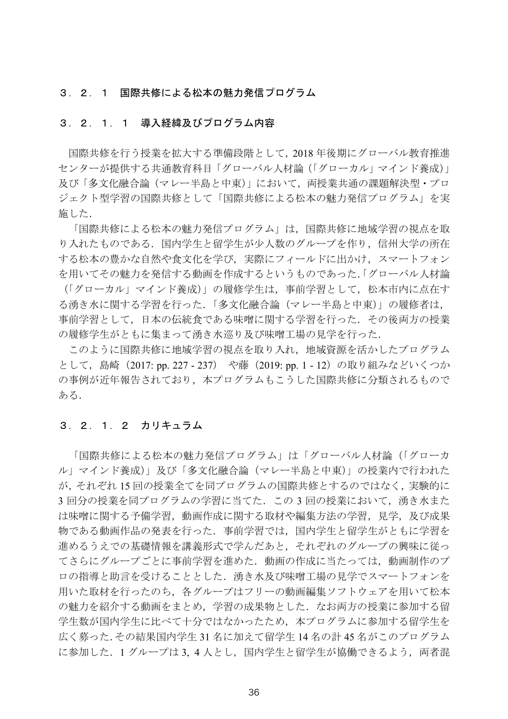#### 3. 2. 1 国際共修による松本の魅力発信プログラム

#### 3. 2. 1. 1 導入経緯及びプログラム内容

国際共修を行う授業を拡大する準備段階として、2018年後期にグローバル教育推進 センターが提供する共通教育科目「グローバル人材論(「グローカル」マインド養成)」 及び「多文化融合論(マレー半島と中東)」において、両授業共通の課題解決型・プロ ジェクト型学習の国際共修として「国際共修による松本の魅力発信プログラム」を実 施した.

「国際共修による松本の魅力発信プログラム」は、国際共修に地域学習の視点を取 り入れたものである。国内学生と留学生が少人数のグループを作り、信州大学の所在 する松本の豊かな自然や食文化を学び、実際にフィールドに出かけ、スマートフォン を用いてその魅力を発信する動画を作成するというものであった. 「グローバル人材論 (「グローカル」マインド養成)」の履修学生は、事前学習として、松本市内に点在す る湧き水に関する学習を行った、「多文化融合論(マレー半島と中東)」の履修者は、 事前学習として、日本の伝統食である味噌に関する学習を行った。その後両方の授業 の履修学生がともに集まって湧き水巡り及び味噌工場の見学を行った.

このように国際共修に地域学習の視点を取り入れ、地域資源を活かしたプログラム として、島崎 (2017: pp. 227 - 237) や藤 (2019: pp. 1 - 12) の取り組みなどいくつか の事例が近年報告されており、本プログラムもこうした国際共修に分類されるもので ある.

#### 3. 2. 1. 2 カリキュラム

「国際共修による松本の魅力発信プログラム」は「グローバル人材論(「グローカ ル」マインド養成)」及び「多文化融合論(マレー半島と中東)」の授業内で行われた が、それぞれ15回の授業全てを同プログラムの国際共修とするのではなく、実験的に 3回分の授業を同プログラムの学習に当てた. この3回の授業において、湧き水また は味噌に関する予備学習、動画作成に関する取材や編集方法の学習、見学、及び成果 物である動画作品の発表を行った、事前学習では、国内学生と留学生がともに学習を 進めるうえでの基礎情報を講義形式で学んだあと、それぞれのグループの興味に従っ てさらにグループごとに事前学習を進めた. 動画の作成に当たっては、動画制作のプ ロの指導と助言を受けることとした、湧き水及び味噌工場の見学でスマートフォンを 用いた取材を行ったのち、各グループはフリーの動画編集ソフトウェアを用いて松本 の魅力を紹介する動画をまとめ、学習の成果物とした。なお両方の授業に参加する留 学生数が国内学生に比べて十分ではなかったため、本プログラムに参加する留学生を 広く募った.その結果国内学生31名に加えて留学生14名の計45名がこのプログラム に参加した. 1グループは3,4人とし、国内学生と留学生が協働できるよう、両者混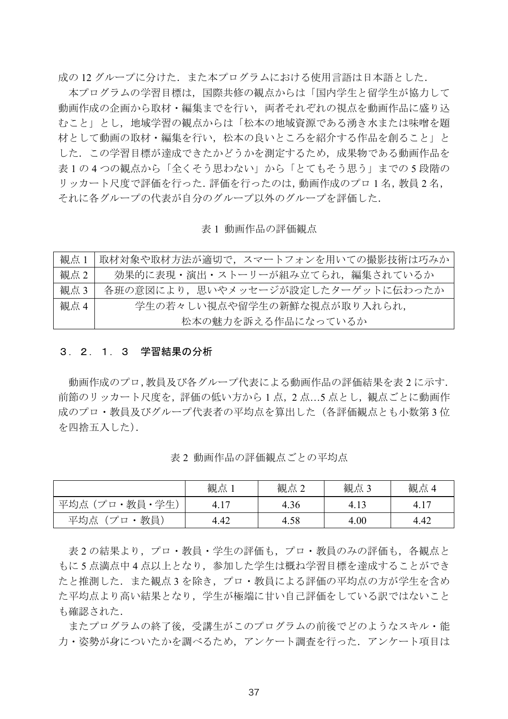成の12グループに分けた. また本プログラムにおける使用言語は日本語とした.

本プログラムの学習目標は、国際共修の観点からは「国内学生と留学生が協力して 動画作成の企画から取材・編集までを行い、両者それぞれの視点を動画作品に盛り込 むこと」とし、地域学習の観点からは「松本の地域資源である湧き水または味噌を題 材として動画の取材・編集を行い、松本の良いところを紹介する作品を創ること」と した。この学習目標が達成できたかどうかを測定するため、成果物である動画作品を 表1の4つの観点から「全くそう思わない」から「とてもそう思う」までの5段階の リッカート尺度で評価を行った. 評価を行ったのは、動画作成のプロ1名、教員2名、 それに各グループの代表が自分のグループ以外のグループを評価した.

表1 動画作品の評価観点

| 観点 1 | 取材対象や取材方法が適切で、スマートフォンを用いての撮影技術は巧みか |
|------|------------------------------------|
| 観点 2 | 効果的に表現・演出・ストーリーが組み立てられ、編集されているか    |
| 観点3  | 各班の意図により、思いやメッセージが設定したターゲットに伝わったか  |
| 観点 4 | 学生の若々しい視点や留学生の新鮮な視点が取り入れられ、        |
|      | 松本の魅力を訴える作品になっているか                 |

### 3. 2. 1. 3 学習結果の分析

動画作成のプロ,教員及び各グループ代表による動画作品の評価結果を表2に示す. 前節のリッカート尺度を、評価の低い方から1点、2点...5点とし、観点ごとに動画作 成のプロ・教員及びグループ代表者の平均点を算出した(各評価観点とも小数第3位 を四捨五入した).

|                       | 観点   | 観点2  | 観点3  | 観点   |
|-----------------------|------|------|------|------|
| ·教員・学生)<br>゚プロ<br>平均点 | 15   | 4.36 | 4.1  | 4.1  |
| 教員<br>プロ<br>平均点       | 4.42 | 4.58 | 4.00 | 4.42 |

表2動画作品の評価観点ごとの平均点

表2の結果より、プロ・教員・学生の評価も、プロ・教員のみの評価も、各観点と もに5点満点中4点以上となり、参加した学生は概ね学習目標を達成することができ たと推測した. また観点3を除き、プロ・教員による評価の平均点の方が学生を含め た平均点より高い結果となり、学生が極端に甘い自己評価をしている訳ではないこと も確認された.

またプログラムの終了後、受講生がこのプログラムの前後でどのようなスキル・能 力·姿勢が身についたかを調べるため、アンケート調査を行った。アンケート項目は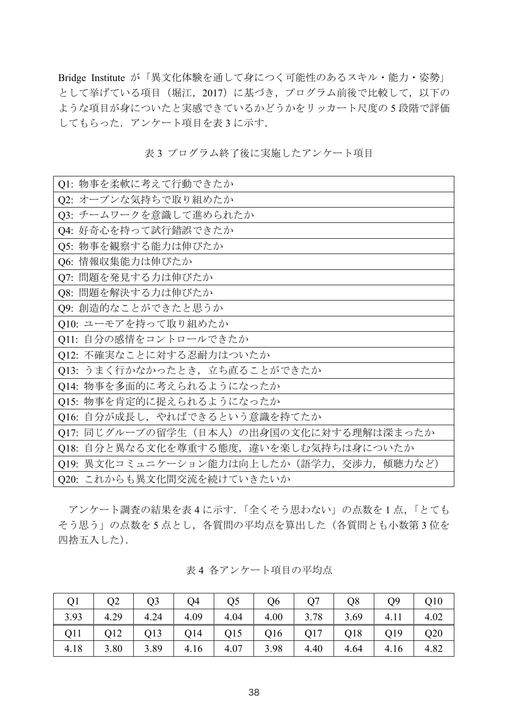Bridge Institute が「異文化体験を通して身につく可能性のあるスキル・能力・姿勢」 として挙げている項目 (堀江, 2017) に基づき、プログラム前後で比較して、以下の ような項目が身についたと実感できているかどうかをリッカート尺度の5段階で評価 してもらった. アンケート項目を表3に示す.

| Q1: 物事を柔軟に考えて行動できたか                         |
|---------------------------------------------|
| Q2: オープンな気持ちで取り組めたか                         |
| Q3: チームワークを意識して進められたか                       |
| Q4: 好奇心を持って試行錯誤できたか                         |
| Q5: 物事を観察する能力は伸びたか                          |
| Q6: 情報収集能力は伸びたか                             |
| Q7: 問題を発見する力は伸びたか                           |
| Q8: 問題を解決する力は伸びたか                           |
| Q9: 創造的なことができたと思うか                          |
| Q10: ユーモアを持って取り組めたか                         |
| Q11: 自分の感情をコントロールできたか                       |
| Q12: 不確実なことに対する忍耐力はついたか                     |
| Q13: うまく行かなかったとき, 立ち直ることができたか               |
| Q14: 物事を多面的に考えられるようになったか                    |
| O15: 物事を肯定的に捉えられるようになったか                    |
| Q16: 自分が成長し、やればできるという意識を持てたか                |
| Q17: 同じグループの留学生 (日本人) の出身国の文化に対する理解は深まったか   |
| Q18: 自分と異なる文化を尊重する態度,違いを楽しむ気持ちは身についたか       |
| Q19: 異文化コミュニケーション能力は向上したか (語学力, 交渉力, 傾聴力など) |
| Q20: これからも異文化間交流を続けていきたいか                   |

表3 プログラム終了後に実施したアンケート項目

アンケート調査の結果を表4に示す.「全くそう思わない」の点数を1点,「とても そう思う」の点数を5点とし、各質問の平均点を算出した(各質問とも小数第3位を 四捨五入した).

| Q <sub>1</sub> | Q2   | O <sub>3</sub> | Q4   | O <sub>5</sub> | Q <sub>6</sub> |      | O <sub>8</sub> | О9   | Q10  |
|----------------|------|----------------|------|----------------|----------------|------|----------------|------|------|
| 3.93           | 4.29 | 4.24           | 4.09 | 4.04           | 4.00           | 3.78 | 3.69           | 4.11 | 4.02 |
| Q11            | Q12  | Q13            | Q14  | Q15            | Q16            | Q17  | Q18            | Q19  | Q20  |
| 4.18           | 3.80 | 3.89           | 4.16 | 4.07           | 3.98           | 4.40 | 4.64           | 4.16 | 4.82 |

表4 各アンケート項目の平均点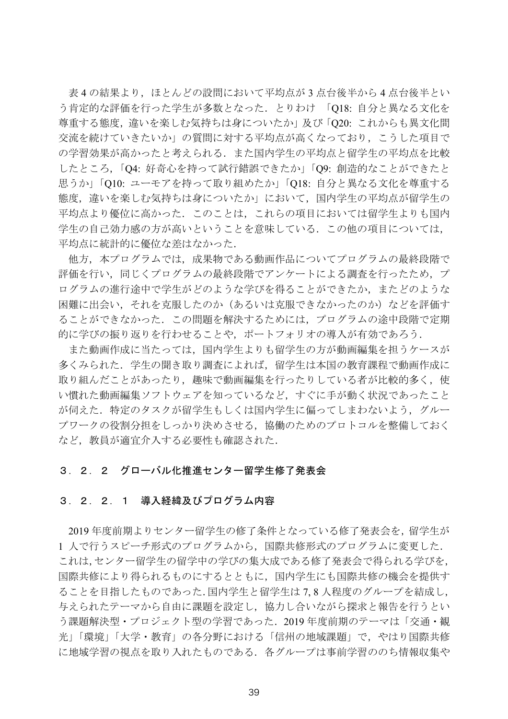表4の結果より、ほとんどの設問において平均点が3点台後半から4点台後半とい う肯定的な評価を行った学生が多数となった. とりわけ 「O18: 自分と異なる文化を 尊重する態度,違いを楽しむ気持ちは身についたか」及び「Q20: これからも異文化間 交流を続けていきたいか」の質問に対する平均点が高くなっており、こうした項目で の学習効果が高かったと考えられる。また国内学生の平均点と留学生の平均点を比較 したところ、「O4: 好奇心を持って試行錯誤できたか」「O9: 創造的なことができたと 思うか」「O10: ユーモアを持って取り組めたか」「O18: 自分と異なる文化を尊重する 熊度、違いを楽しむ気持ちは身についたか」において、国内学生の平均点が留学生の 平均点より優位に高かった。このことは、これらの項目においては留学生よりも国内 学生の自己効力感の方が高いということを意味している。この他の項目については、 平均点に統計的に優位な差はなかった.

他方、本プログラムでは、成果物である動画作品についてプログラムの最終段階で 評価を行い,同じくプログラムの最終段階でアンケートによる調査を行ったため,プ ログラムの進行涂中で学生がどのような学びを得ることができたか、またどのような 困難に出会い、それを克服したのか(あるいは克服できなかったのか)などを評価す ることができなかった。この問題を解決するためには、プログラムの途中段階で定期 的に学びの振り返りを行わせることや、ポートフォリオの導入が有効であろう.

また動画作成に当たっては、国内学生よりも留学生の方が動画編集を担うケースが 多くみられた. 学生の聞き取り調査によれば、留学生は本国の教育課程で動画作成に 取り組んだことがあったり、趣味で動画編集を行ったりしている者が比較的多く、使 い慣れた動画編集ソフトウェアを知っているなど、すぐに手が動く状況であったこと が伺えた. 特定のタスクが留学生もしくは国内学生に偏ってしまわないよう、グルー プワークの役割分担をしっかり決めさせる、協働のためのプロトコルを整備しておく など,教員が適宜介入する必要性も確認された.

#### 3. 2. 2 グローバル化推進センター留学生修了発表会

#### 3. 2. 2. 1 導入経緯及びプログラム内容

2019年度前期よりセンター留学生の修了条件となっている修了発表会を、留学生が 1 人で行うスピーチ形式のプログラムから、国際共修形式のプログラムに変更した. これは,センター留学生の留学中の学びの集大成である修了発表会で得られる学びを, 国際共修により得られるものにするとともに、国内学生にも国際共修の機会を提供す ることを目指したものであった.国内学生と留学生は7.8人程度のグループを結成し, 与えられたテーマから自由に課題を設定し、協力し合いながら探求と報告を行うとい う課題解決型・プロジェクト型の学習であった. 2019年度前期のテーマは「交通・観 光」「環境」「大学・教育」の各分野における「信州の地域課題」で、やはり国際共修 に地域学習の視点を取り入れたものである。各グループは事前学習ののち情報収集や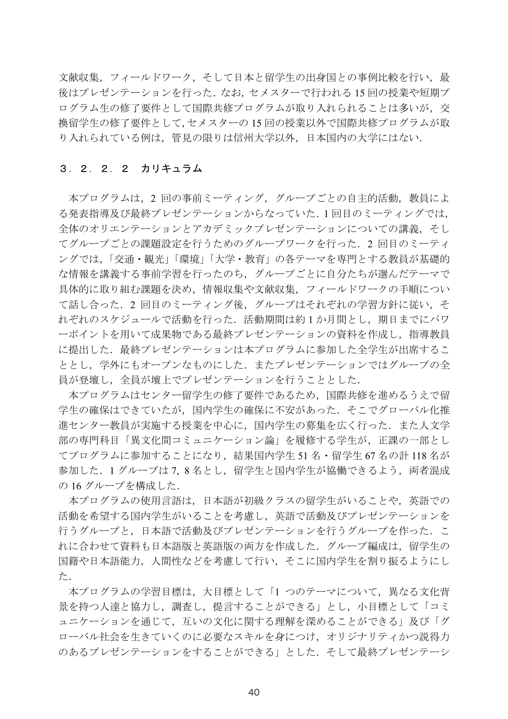文献収集、フィールドワーク、そして日本と留学生の出身国との事例比較を行い、最 後はプレゼンテーションを行った. なお、セメスターで行われる15回の授業や短期プ ログラム生の修了要件として国際共修プログラムが取り入れられることは多いが、交 換留学生の修了要件として、セメスターの15回の授業以外で国際共修プログラムが取 り入れられている例は、管見の限りは信州大学以外、日本国内の大学にはない.

#### 3. 2. 2. 2 カリキュラム

本プログラムは、2回の事前ミーティング、グループごとの自主的活動、教員によ る発表指導及び最終プレゼンテーションからなっていた.1回目のミーティングでは, 全体のオリエンテーションとアカデミックプレゼンテーションについての講義、そし てグループごとの課題設定を行うためのグループワークを行った. 2回目のミーティ ングでは、「交通・観光」「環境」「大学・教育」の各テーマを専門とする教員が基礎的 な情報を講義する事前学習を行ったのち、グループごとに自分たちが選んだテーマで 具体的に取り組む課題を決め、情報収集や文献収集、フィールドワークの手順につい て話し合った. 2 回目のミーティング後、グループはそれぞれの学習方針に従い. そ れぞれのスケジュールで活動を行った. 活動期間は約1か月間とし、期日までにパワ ーポイントを用いて成果物である最終プレゼンテーションの資料を作成し、指導教員 に提出した. 最終プレゼンテーションは本プログラムに参加した全学生が出席するこ ととし、学外にもオープンなものにした。またプレゼンテーションではグループの全 員が登壇し、全員が壇上でプレゼンテーションを行うこととした.

本プログラムはセンター留学生の修了要件であるため、国際共修を進めるうえで留 学生の確保はできていたが、国内学生の確保に不安があった。そこでグローバル化推 進センター教員が実施する授業を中心に、国内学生の募集を広く行った。また人文学 部の専門科目「異文化間コミュニケーション論」を履修する学生が、正課の一部とし てプログラムに参加することになり、結果国内学生51名·留学生67名の計118名が 参加した. 1グループは7,8名とし,留学生と国内学生が協働できるよう, 両者混成 の 16 グループを構成した.

本プログラムの使用言語は、日本語が初級クラスの留学生がいることや、英語での 活動を希望する国内学生がいることを考慮し、英語で活動及びプレゼンテーションを 行うグループと、日本語で活動及びプレゼンテーションを行うグループを作った。こ れに合わせて資料も日本語版と英語版の両方を作成した. グループ編成は、留学生の 国籍や日本語能力、人間性などを考慮して行い、そこに国内学生を割り振るようにし た.

本プログラムの学習目標は、大目標として「1 つのテーマについて、異なる文化背 景を持つ人達と協力し、調査し、提言することができる」とし、小目標として「コミ ュニケーションを通じて、互いの文化に関する理解を深めることができる」及び「グ ローバル社会を生きていくのに必要なスキルを身につけ、オリジナリティかつ説得力 のあるプレゼンテーションをすることができる」とした。そして最終プレゼンテーシ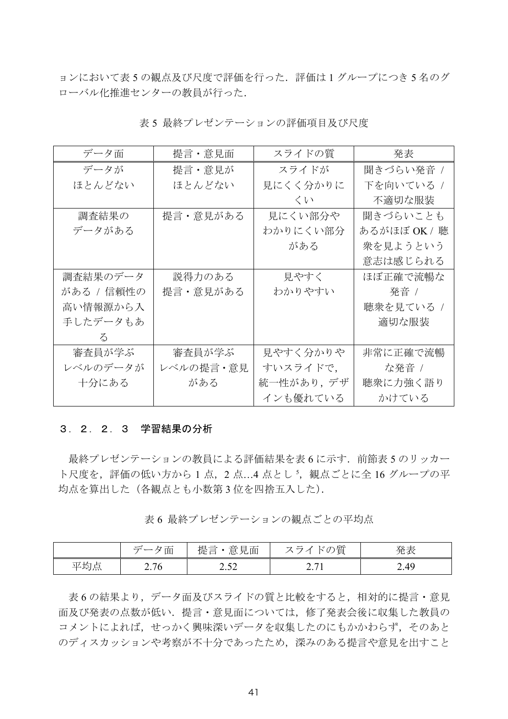ョンにおいて表5の観点及び尺度で評価を行った. 評価は1グループにつき5名のグ ローバル化推進センターの教員が行った.

| データ面       | 提言・意見面    | スライドの質    | 発表           |
|------------|-----------|-----------|--------------|
| データが       | 提言・意見が    | スライドが     | 聞きづらい発音 /    |
| ほとんどない     | ほとんどない    | 見にくく分かりに  | 下を向いている /    |
|            |           | くい        | 不適切な服装       |
| 調査結果の      | 提言・意見がある  | 見にくい部分や   | 聞きづらいことも     |
| データがある     |           | わかりにくい部分  | あるがほぼ OK / 聴 |
|            |           | がある       | 衆を見ようという     |
|            |           |           | 意志は感じられる     |
| 調査結果のデータ   | 説得力のある    | 見やすく      | ほぼ正確で流暢な     |
| がある / 信頼性の | 提言・意見がある  | わかりやすい    | 発音 /         |
| 高い情報源から入   |           |           | 聴衆を見ている /    |
| 手したデータもあ   |           |           | 適切な服装        |
| $\lesssim$ |           |           |              |
| 審査員が学ぶ     | 審査員が学ぶ    | 見やすく分かりや  | 非常に正確で流暢     |
| レベルのデータが   | レベルの提言・意見 | すいスライドで,  | な発音 /        |
| 十分にある      | がある       | 統一性があり,デザ | 聴衆に力強く語り     |
|            |           | インも優れている  | かけている        |

表5 最終プレゼンテーションの評価項目及び尺度

#### 3. 2. 2. 3 学習結果の分析

最終プレゼンテーションの教員による評価結果を表6に示す. 前節表5のリッカー ト尺度を、評価の低い方から1点、2点...4点とし5、観点ごとに全16グループの平 均点を算出した (各観点とも小数第3位を四捨五入した).

表6 最終プレゼンテーションの観点ごとの平均点

|     | 夕面<br>デー, | 意見面<br>提言                                 | )質<br>$\sqrt{2}$<br>$7 -$<br>ヽ∪ノ | 発表   |
|-----|-----------|-------------------------------------------|----------------------------------|------|
| 平均点 | 2.76      | ר גר<br>$\overline{2}$ . J $\overline{2}$ | די ה<br>$\sim$ . $\prime$        | 2.49 |

表6の結果より、データ面及びスライドの質と比較をすると、相対的に提言・意見 面及び発表の点数が低い. 提言·意見面については、修了発表会後に収集した教員の コメントによれば、せっかく興味深いデータを収集したのにもかかわらず、そのあと のディスカッションや考察が不十分であったため、深みのある提言や意見を出すこと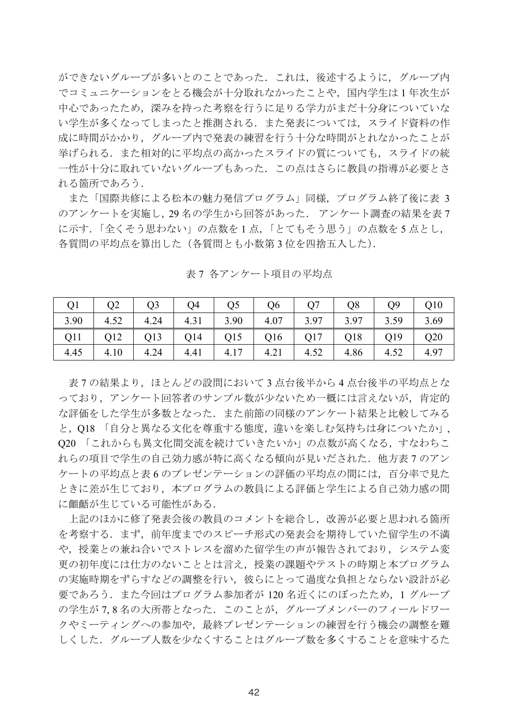ができないグループが多いとのことであった. これは、後述するように、グループ内 でコミュニケーションをとる機会が十分取れなかったことや、国内学生は1年次生が 中心であったため、深みを持った考察を行うに足りる学力がまだ十分身についていな い学生が多くなってしまったと推測される. また発表については、スライド資料の作 成に時間がかかり、グループ内で発表の練習を行う十分な時間がとれなかったことが 挙げられる。また相対的に平均点の高かったスライドの質についても、スライドの統 一性が十分に取れていないグループもあった. この点はさらに教員の指導が必要とさ れる箇所であろう.

また「国際共修による松本の魅力発信プログラム」同様、プログラム終了後に表 3 のアンケートを実施し, 29名の学生から回答があった. アンケート調査の結果を表7 に示す.「全くそう思わない」の点数を1点,「とてもそう思う」の点数を5点とし, 各質問の平均点を算出した(各質問とも小数第3位を四捨五入した).

| <b>O1</b>          | $\vert$ Q2 | $\vert$ Q3                                                                                              | Q4 | Q <sub>5</sub> | $\vert$ Q6 | Q7 | $\overline{Q8}$ | O <sub>9</sub> | $\vert$ Q10 |
|--------------------|------------|---------------------------------------------------------------------------------------------------------|----|----------------|------------|----|-----------------|----------------|-------------|
|                    |            |                                                                                                         |    |                |            |    |                 |                |             |
| Q11                |            |                                                                                                         |    |                |            |    |                 |                |             |
| $4.45 \qquad 4.10$ |            | $\vert$ 4.24 $\vert$ 4.41 $\vert$ 4.17 $\vert$ 4.21 $\vert$ 4.52 $\vert$ 4.86 $\vert$ 4.52 $\vert$ 4.97 |    |                |            |    |                 |                |             |

表7 各アンケート項目の平均点

表7の結果より、ほとんどの設問において3点台後半から4点台後半の平均点とな っており、アンケート回答者のサンプル数が少ないため一概には言えないが、肯定的 な評価をした学生が多数となった. また前節の同様のアンケート結果と比較してみる と, O18 「自分と異なる文化を尊重する熊度, 違いを楽しむ気持ちは身についたか」. Q20 「これからも異文化間交流を続けていきたいか」の点数が高くなる、すなわちこ れらの項目で学生の自己効力感が特に高くなる傾向が見いだされた。他方表7のアン ケートの平均点と表6のプレゼンテーションの評価の平均点の間には、百分率で見た ときに差が生じており、本プログラムの教員による評価と学生による自己効力感の間 に齟齬が生じている可能性がある.

上記のほかに修了発表会後の教員のコメントを総合し、改善が必要と思われる箇所 を考察する. まず、前年度までのスピーチ形式の発表会を期待していた留学生の不満 や、授業との兼ね合いでストレスを溜めた留学生の声が報告されており、システム変 更の初年度には仕方のないこととは言え、授業の課題やテストの時期と本プログラム の実施時期をずらすなどの調整を行い、彼らにとって過度な負担とならない設計が必 要であろう.また今回はプログラム参加者が 120 名近くにのぼったため,1 グループ の学生が7,8名の大所帯となった. このことが、グループメンバーのフィールドワー クやミーティングへの参加や、最終プレゼンテーションの練習を行う機会の調整を難 しくした、グループ人数を少なくすることはグループ数を多くすることを意味するた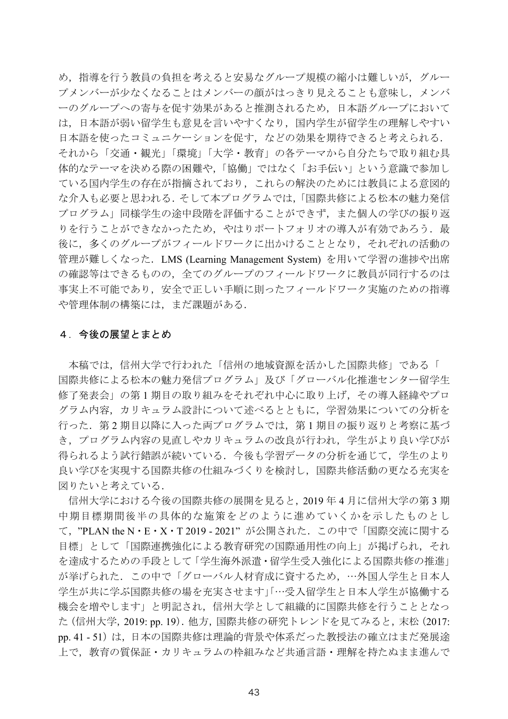め、指導を行う教員の負担を考えると安易なグループ規模の縮小は難しいが、グルー プメンバーが少なくなることはメンバーの顔がはっきり見えることも意味し、メンバ 一のグループへの寄与を促す効果があると推測されるため、日本語グループにおいて は、日本語が弱い留学生も意見を言いやすくなり、国内学生が留学生の理解しやすい 日本語を使ったコミュニケーションを促す、などの効果を期待できると考えられる. それから「交通・観光」「環境」「大学・教育」の各テーマから自分たちで取り組む具 |体的なテーマを決める際の困難や,「協働」ではなく「お手伝い」という意識で参加し ている国内学生の存在が指摘されており、これらの解決のためには教員による意図的 な介入も必要と思われる.そして本プログラムでは,「国際共修による松本の魅力発信 プログラム」同様学生の途中段階を評価することができず、また個人の学びの振り返 りを行うことができなかったため、やはりポートフォリオの導入が有効であろう。最 後に、多くのグループがフィールドワークに出かけることとなり、それぞれの活動の 管理が難しくなった. LMS (Learning Management System) を用いて学習の進捗や出席 の確認等はできるものの、全てのグループのフィールドワークに教員が同行するのは 事実上不可能であり、安全で正しい手順に則ったフィールドワーク実施のための指導 や管理体制の構築には、まだ課題がある.

### 4. 今後の展望とまとめ

本稿では、信州大学で行われた「信州の地域資源を活かした国際共修」である「 国際共修による松本の魅力発信プログラム」及び「グローバル化推進センター留学生 修了発表会」の第1期目の取り組みをそれぞれ中心に取り上げ、その導入経緯やプロ グラム内容、カリキュラム設計について述べるとともに、学習効果についての分析を 行った. 第2期目以降に入った両プログラムでは、第1期目の振り返りと考察に基づ き、プログラム内容の見直しやカリキュラムの改良が行われ、学生がより良い学びが 得られるよう試行錯誤が続いている。今後も学習データの分析を通じて、学生のより 良い学びを実現する国際共修の仕組みづくりを検討し、国際共修活動の更なる充実を 図りたいと考えている.

信州大学における今後の国際共修の展開を見ると、2019年4月に信州大学の第3期 中期目標期間後半の具体的な施策をどのように進めていくかを示したものとし て、"PLAN the N·E·X·T2019-2021"が公開された. この中で「国際交流に関する 目標」として「国際連携強化による教育研究の国際通用性の向上」が掲げられ、それ を達成するための手段として「学生海外派遣・留学生受入強化による国際共修の推進」 が挙げられた. この中で「グローバル人材育成に資するため, …外国人学生と日本人 学生が共に学ぶ国際共修の場を充実させます」「…受入留学生と日本人学生が協働する 機会を増やします」と明記され、信州大学として組織的に国際共修を行うこととなっ た (信州大学, 2019: pp. 19). 他方, 国際共修の研究トレンドを見てみると, 末松 (2017: pp.41 - 51) は, 日本の国際共修は理論的背景や体系だった教授法の確立はまだ発展途 上で、教育の質保証・カリキュラムの枠組みなど共通言語・理解を持たぬまま進んで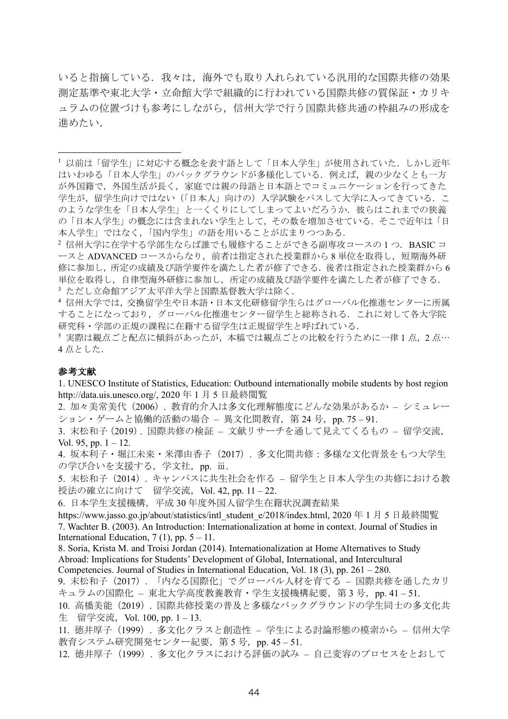いると指摘している。我々は、海外でも取り入れられている汎用的な国際共修の効果 測定基準や東北大学·立命館大学で組織的に行われている国際共修の質保証·カリキ ュラムの位置づけも参考にしながら、信州大学で行う国際共修共通の枠組みの形成を 進めたい.

4 信州大学では、交換留学生や日本語·日本文化研修留学生らはグローバル化推進センターに所属 することになっており、グローバル化推進センター留学生と総称される。これに対して各大学院 研究科・学部の正規の課程に在籍する留学生は正規留学生と呼ばれている.

5 実際は観点ごと配点に傾斜があったが、本稿では観点ごとの比較を行うために一律1点, 2点… 4点とした.

#### 参考文献

1. UNESCO Institute of Statistics, Education: Outbound internationally mobile students by host region http://data.uis.unesco.org/, 2020年1月5日最終閲覧

2. 加々美常美代 (2006). 教育的介入は多文化理解態度にどんな効果があるか - シミュレー ション・ゲームと協働的活動の場合 - 異文化間教育, 第24号, pp. 75-91.

3. 末松和子(2019). 国際共修の検証 - 文献リサーチを通して見えてくるもの - 留学交流, Vol. 95, pp.  $1 - 12$ .

4. 坂本利子・堀江未来・米澤由香子 (2017) . 多文化間共修:多様な文化背景をもつ大学生 の学び合いを支援する、学文社, pp. ii.

5. 末松和子 (2014). キャンパスに共生社会を作る - 留学生と日本人学生の共修における教 授法の確立に向けて 留学交流, Vol. 42, pp. 11-22.

6. 日本学生支援機構, 平成 30年度外国人留学生在籍状況調查結果

https://www.jasso.go.jp/about/statistics/intl student e/2018/index.html, 2020年1月5日最終閲覧 7. Wachter B. (2003). An Introduction: Internationalization at home in context. Journal of Studies in International Education,  $7(1)$ , pp.  $5 - 11$ .

8. Soria, Krista M. and Troisi Jordan (2014). Internationalization at Home Alternatives to Study Abroad: Implications for Students' Development of Global. International, and Intercultural Competencies. Journal of Studies in International Education, Vol. 18 (3), pp.  $261 - 280$ .

9. 末松和子 (2017). 「内なる国際化」でグローバル人材を育てる - 国際共修を通したカリ キュラムの国際化 - 東北大学高度教養教育・学生支援機構紀要, 第3号, pp. 41-51.

10. 高橋美能 (2019). 国際共修授業の普及と多様なバックグラウンドの学生同士の多文化共 生 留学交流, Vol. 100, pp. 1-13.

11. 徳井厚子 (1999). 多文化クラスと創造性 - 学生による討論形態の模索から - 信州大学 教育システム研究開発センター紀要, 第5号, pp. 45-51.

12. 徳井厚子 (1999). 多文化クラスにおける評価の試み - 自己変容のプロセスをとおして

<sup>1</sup> 以前は「留学生」に対応する概念を表す語として「日本人学生」が使用されていた. しかし近年 はいわゆる「日本人学生」のバックグラウンドが多様化している。例えば、親の少なくとも一方 が外国籍で、外国生活が長く、家庭では親の母語と日本語とでコミュニケーションを行ってきた 学生が、留学生向けではない(「日本人」向けの)入学試験をパスして大学に入ってきている. こ のような学生を「日本人学生」と一くくりにしてしまってよいだろうか. 彼らはこれまでの狭義 の「日本人学生」の概念には含まれない学生として、その数を増加させている。そこで近年は「日 本人学生」ではなく、「国内学生」の語を用いることが広まりつつある.

<sup>&</sup>lt;sup>2</sup>信州大学に在学する学部生ならば誰でも履修することができる副専攻コースの1つ. BASIC コ ースと ADVANCED コースからなり、前者は指定された授業群から8単位を取得し、短期海外研 修に参加し、所定の成績及び語学要件を満たした者が修了できる。後者は指定された授業群から6 単位を取得し、自律型海外研修に参加し、所定の成績及び語学要件を満たした者が修了できる. 3 ただし立命館アジア太平洋大学と国際基督教大学は除く.